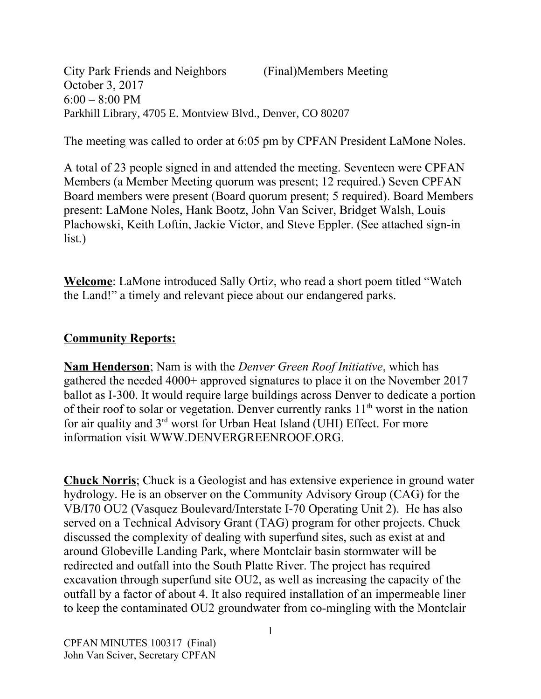City Park Friends and Neighbors (Final)Members Meeting October 3, 2017  $6:00 - 8:00$  PM Parkhill Library, 4705 E. Montview Blvd., Denver, CO 80207

The meeting was called to order at 6:05 pm by CPFAN President LaMone Noles.

A total of 23 people signed in and attended the meeting. Seventeen were CPFAN Members (a Member Meeting quorum was present; 12 required.) Seven CPFAN Board members were present (Board quorum present; 5 required). Board Members present: LaMone Noles, Hank Bootz, John Van Sciver, Bridget Walsh, Louis Plachowski, Keith Loftin, Jackie Victor, and Steve Eppler. (See attached sign-in list.)

**Welcome**: LaMone introduced Sally Ortiz, who read a short poem titled "Watch the Land!" a timely and relevant piece about our endangered parks.

## **Community Reports:**

**Nam Henderson**; Nam is with the *Denver Green Roof Initiative*, which has gathered the needed 4000+ approved signatures to place it on the November 2017 ballot as I-300. It would require large buildings across Denver to dedicate a portion of their roof to solar or vegetation. Denver currently ranks  $11<sup>th</sup>$  worst in the nation for air quality and 3rd worst for Urban Heat Island (UHI) Effect. For more information visit WWW.DENVERGREENROOF.ORG.

**Chuck Norris**; Chuck is a Geologist and has extensive experience in ground water hydrology. He is an observer on the Community Advisory Group (CAG) for the VB/I70 OU2 (Vasquez Boulevard/Interstate I-70 Operating Unit 2). He has also served on a Technical Advisory Grant (TAG) program for other projects. Chuck discussed the complexity of dealing with superfund sites, such as exist at and around Globeville Landing Park, where Montclair basin stormwater will be redirected and outfall into the South Platte River. The project has required excavation through superfund site OU2, as well as increasing the capacity of the outfall by a factor of about 4. It also required installation of an impermeable liner to keep the contaminated OU2 groundwater from co-mingling with the Montclair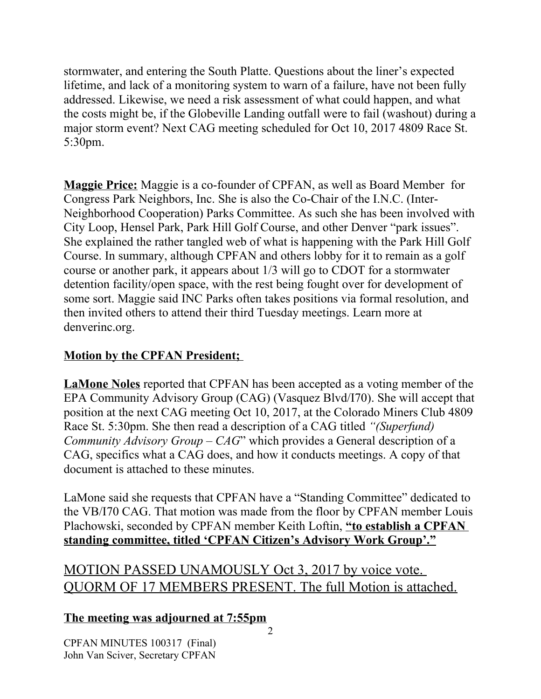stormwater, and entering the South Platte. Questions about the liner's expected lifetime, and lack of a monitoring system to warn of a failure, have not been fully addressed. Likewise, we need a risk assessment of what could happen, and what the costs might be, if the Globeville Landing outfall were to fail (washout) during a major storm event? Next CAG meeting scheduled for Oct 10, 2017 4809 Race St. 5:30pm.

**Maggie Price:** Maggie is a co-founder of CPFAN, as well as Board Member for Congress Park Neighbors, Inc. She is also the Co-Chair of the I.N.C. (Inter-Neighborhood Cooperation) Parks Committee. As such she has been involved with City Loop, Hensel Park, Park Hill Golf Course, and other Denver "park issues". She explained the rather tangled web of what is happening with the Park Hill Golf Course. In summary, although CPFAN and others lobby for it to remain as a golf course or another park, it appears about 1/3 will go to CDOT for a stormwater detention facility/open space, with the rest being fought over for development of some sort. Maggie said INC Parks often takes positions via formal resolution, and then invited others to attend their third Tuesday meetings. Learn more at denverinc.org.

## **Motion by the CPFAN President;**

**LaMone Noles** reported that CPFAN has been accepted as a voting member of the EPA Community Advisory Group (CAG) (Vasquez Blvd/I70). She will accept that position at the next CAG meeting Oct 10, 2017, at the Colorado Miners Club 4809 Race St. 5:30pm. She then read a description of a CAG titled *"(Superfund) Community Advisory Group – CAG*" which provides a General description of a CAG, specifics what a CAG does, and how it conducts meetings. A copy of that document is attached to these minutes.

LaMone said she requests that CPFAN have a "Standing Committee" dedicated to the VB/I70 CAG. That motion was made from the floor by CPFAN member Louis Plachowski, seconded by CPFAN member Keith Loftin, **"to establish a CPFAN standing committee, titled 'CPFAN Citizen's Advisory Work Group'."**

## MOTION PASSED UNAMOUSLY Oct 3, 2017 by voice vote. QUORM OF 17 MEMBERS PRESENT. The full Motion is attached.

## **The meeting was adjourned at 7:55pm**